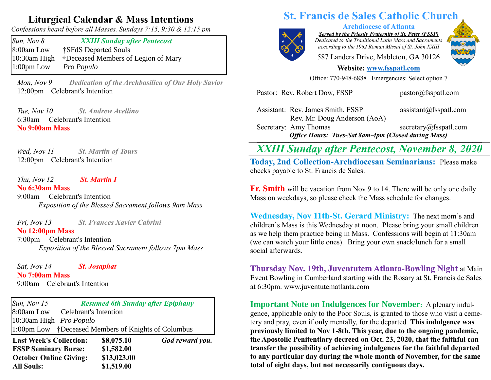## **Liturgical Calendar & Mass Intentions**

*Confessions heard before all Masses. Sundays 7:15, 9:30 & 12:15 pm*

*Sun, Nov 8 XXIII Sunday after Pentecost*  8:00am Low †SFdS Departed Souls 10:30am High †Deceased Members of Legion of Mary 1:00pm Low *Pro Populo*

 *Mon, Nov 9 Dedication of the Archbasilica of Our Holy Savior* 12:00pm Celebrant's Intention

 *Tue, Nov 10 St. Andrew Avellino* 6:30am Celebrant's Intention **No 9:00am Mass** 

*Wed, Nov 11 Nov 11 St. Martin of Tours* 12:00pm Celebrant's Intention

 *Thu, Nov 12 St. Martin I* **No 6:30am Mass** 

9:00am Celebrant's Intention *Exposition of the Blessed Sacrament follows 9am Mass*

 *Fri, Nov 13 St. Frances Xavier Cabrini*

**No 12:00pm Mass**  7:00pm Celebrant's Intention *Exposition of the Blessed Sacrament follows 7pm Mass*

 *Sat, Nov 14 St. Josaphat* **No 7:00am Mass**  9:00amCelebrant's Intention

*Sun, Nov 15 Resumed 6th Sunday after Epiphany*  8:00am Low Celebrant's Intention 10:30am High *Pro Populo* 1:00pm Low †Deceased Members of Knights of Columbus

**Last Week's Collection: \$8,075.10** *God reward you.* **FSSP Seminary Burse: \$1,582.00 October Online Giving: \$13,023.00 All Souls: \$1,519.00**

## **St. Francis de Sales Catholic Church**



**Archdiocese of Atlanta**

*Served by the Priestly Fraternity of St. Peter (FSSP) Dedicated to the Traditional Latin Mass and Sacraments according to the 1962 Roman Missal of St. John XXIII*

587 Landers Drive, Mableton, GA 30126

#### **Website: [www.fsspatl.com](http://www.fsspatl.com/)**

Office: 770-948-6888 Emergencies: Select option 7

Assistant: Rev. James Smith, FSSP assistant@fsspatl.com Rev. Mr. Doug Anderson (AoA) Secretary: Amy Thomas secretary@fsspatl.com *Office Hours: Tues-Sat 8am-4pm (Closed during Mass)* **\_\_\_\_\_\_\_\_\_\_\_\_\_\_\_\_\_\_\_\_\_\_\_\_\_\_\_\_\_\_\_\_\_\_\_\_\_\_\_\_\_\_\_\_\_\_\_\_\_\_\_\_\_\_\_\_\_\_\_\_\_\_\_\_\_\_\_\_\_\_\_\_\_\_\_\_\_\_\_\_\_\_\_\_\_\_\_\_\_\_\_\_\_\_\_\_\_\_\_\_\_\_\_\_\_\_\_\_\_\_\_\_\_\_\_\_\_\_\_\_\_**

Pastor: Rev. Robert Dow, FSSP pastor@fsspatl.com

# *XXIII Sunday after Pentecost, November 8, 2020*

**Today, 2nd Collection-Archdiocesan Seminarians:** Please make checks payable to St. Francis de Sales.

**Fr. Smith** will be vacation from Nov 9 to 14. There will be only one daily Mass on weekdays, so please check the Mass schedule for changes.

**Wednesday, Nov 11th-St. Gerard Ministry:** The next mom's and children's Mass is this Wednesday at noon. Please bring your small children as we help them practice being in Mass. Confessions will begin at 11:30am (we can watch your little ones). Bring your own snack/lunch for a small social afterwards.

**Thursday Nov. 19th, Juventutem Atlanta-Bowling Night** at Main Event Bowling in Cumberland starting with the Rosary at St. Francis de Sales at 6:30pm. www.juventutematlanta.com

**Important Note on Indulgences for November:** A plenary indulgence, applicable only to the Poor Souls, is granted to those who visit a cemetery and pray, even if only mentally, for the departed*.* **This indulgence was previously limited to Nov 1-8th. This year, due to the ongoing pandemic, the Apostolic Penitentiary decreed on Oct. 23, 2020, that the faithful can transfer the possibility of achieving indulgences for the faithful departed to any particular day during the whole month of November, for the same total of eight days, but not necessarily contiguous days.**